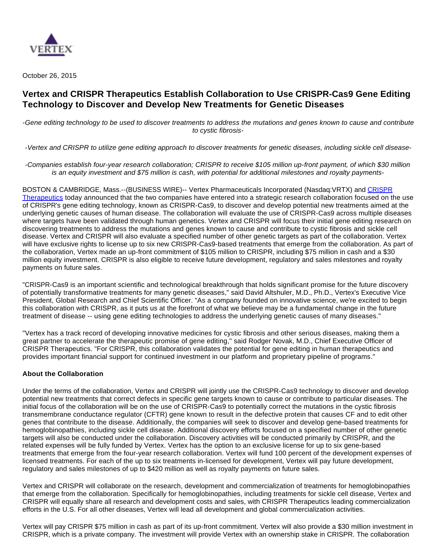

October 26, 2015

# **Vertex and CRISPR Therapeutics Establish Collaboration to Use CRISPR-Cas9 Gene Editing Technology to Discover and Develop New Treatments for Genetic Diseases**

-Gene editing technology to be used to discover treatments to address the mutations and genes known to cause and contribute to cystic fibrosis-

-Vertex and CRISPR to utilize gene editing approach to discover treatments for genetic diseases, including sickle cell disease-

-Companies establish four-year research collaboration; CRISPR to receive \$105 million up-front payment, of which \$30 million is an equity investment and \$75 million is cash, with potential for additional milestones and royalty payments-

BOSTON & CAMBRIDGE, Mass.--(BUSINESS WIRE)-- Vertex Pharmaceuticals Incorporated (Nasdaq:VRTX) and CRISPR [Therapeutics](http://cts.businesswire.com/ct/CT?id=smartlink&url=http%3A%2F%2Fwww.crisprtx.com&esheet=51208886&newsitemid=20151026005392&lan=en-US&anchor=CRISPR+Therapeutics&index=1&md5=b8e430a2394086a32afa776d350c8e37) today announced that the two companies have entered into a strategic research collaboration focused on the use of CRISPR's gene editing technology, known as CRISPR-Cas9, to discover and develop potential new treatments aimed at the underlying genetic causes of human disease. The collaboration will evaluate the use of CRISPR-Cas9 across multiple diseases where targets have been validated through human genetics. Vertex and CRISPR will focus their initial gene editing research on discovering treatments to address the mutations and genes known to cause and contribute to cystic fibrosis and sickle cell disease. Vertex and CRISPR will also evaluate a specified number of other genetic targets as part of the collaboration. Vertex will have exclusive rights to license up to six new CRISPR-Cas9-based treatments that emerge from the collaboration. As part of the collaboration, Vertex made an up-front commitment of \$105 million to CRISPR, including \$75 million in cash and a \$30 million equity investment. CRISPR is also eligible to receive future development, regulatory and sales milestones and royalty payments on future sales.

"CRISPR-Cas9 is an important scientific and technological breakthrough that holds significant promise for the future discovery of potentially transformative treatments for many genetic diseases," said David Altshuler, M.D., Ph.D., Vertex's Executive Vice President, Global Research and Chief Scientific Officer. "As a company founded on innovative science, we're excited to begin this collaboration with CRISPR, as it puts us at the forefront of what we believe may be a fundamental change in the future treatment of disease -- using gene editing technologies to address the underlying genetic causes of many diseases."

"Vertex has a track record of developing innovative medicines for cystic fibrosis and other serious diseases, making them a great partner to accelerate the therapeutic promise of gene editing," said Rodger Novak, M.D., Chief Executive Officer of CRISPR Therapeutics. "For CRISPR, this collaboration validates the potential for gene editing in human therapeutics and provides important financial support for continued investment in our platform and proprietary pipeline of programs."

## **About the Collaboration**

Under the terms of the collaboration, Vertex and CRISPR will jointly use the CRISPR-Cas9 technology to discover and develop potential new treatments that correct defects in specific gene targets known to cause or contribute to particular diseases. The initial focus of the collaboration will be on the use of CRISPR-Cas9 to potentially correct the mutations in the cystic fibrosis transmembrane conductance regulator (CFTR) gene known to result in the defective protein that causes CF and to edit other genes that contribute to the disease. Additionally, the companies will seek to discover and develop gene-based treatments for hemoglobinopathies, including sickle cell disease. Additional discovery efforts focused on a specified number of other genetic targets will also be conducted under the collaboration. Discovery activities will be conducted primarily by CRISPR, and the related expenses will be fully funded by Vertex. Vertex has the option to an exclusive license for up to six gene-based treatments that emerge from the four-year research collaboration. Vertex will fund 100 percent of the development expenses of licensed treatments. For each of the up to six treatments in-licensed for development, Vertex will pay future development, regulatory and sales milestones of up to \$420 million as well as royalty payments on future sales.

Vertex and CRISPR will collaborate on the research, development and commercialization of treatments for hemoglobinopathies that emerge from the collaboration. Specifically for hemoglobinopathies, including treatments for sickle cell disease, Vertex and CRISPR will equally share all research and development costs and sales, with CRISPR Therapeutics leading commercialization efforts in the U.S. For all other diseases, Vertex will lead all development and global commercialization activities.

Vertex will pay CRISPR \$75 million in cash as part of its up-front commitment. Vertex will also provide a \$30 million investment in CRISPR, which is a private company. The investment will provide Vertex with an ownership stake in CRISPR. The collaboration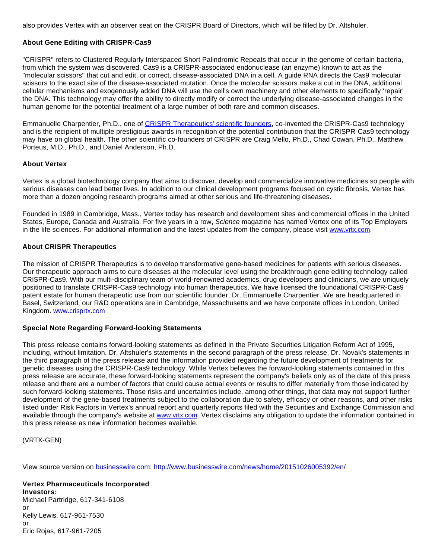also provides Vertex with an observer seat on the CRISPR Board of Directors, which will be filled by Dr. Altshuler.

# **About Gene Editing with CRISPR-Cas9**

"CRISPR" refers to Clustered Regularly Interspaced Short Palindromic Repeats that occur in the genome of certain bacteria, from which the system was discovered. Cas9 is a CRISPR-associated endonuclease (an enzyme) known to act as the "molecular scissors" that cut and edit, or correct, disease-associated DNA in a cell. A guide RNA directs the Cas9 molecular scissors to the exact site of the disease-associated mutation. Once the molecular scissors make a cut in the DNA, additional cellular mechanisms and exogenously added DNA will use the cell's own machinery and other elements to specifically 'repair' the DNA. This technology may offer the ability to directly modify or correct the underlying disease-associated changes in the human genome for the potential treatment of a large number of both rare and common diseases.

Emmanuelle Charpentier, Ph.D., one of [CRISPR Therapeutics' scientific founders,](http://cts.businesswire.com/ct/CT?id=smartlink&url=http%3A%2F%2Fwww.crisprtx.com%2Fabout-us%2Fscientific-founders-advisors.php&esheet=51208886&newsitemid=20151026005392&lan=en-US&anchor=CRISPR+Therapeutics%27+scientific+founders&index=2&md5=fcd4b5ac5889926306e5557e8cd879e1) co-invented the CRISPR-Cas9 technology and is the recipient of multiple prestigious awards in recognition of the potential contribution that the CRISPR-Cas9 technology may have on global health. The other scientific co-founders of CRISPR are Craig Mello, Ph.D., Chad Cowan, Ph.D., Matthew Porteus, M.D., Ph.D., and Daniel Anderson, Ph.D.

#### **About Vertex**

Vertex is a global biotechnology company that aims to discover, develop and commercialize innovative medicines so people with serious diseases can lead better lives. In addition to our clinical development programs focused on cystic fibrosis, Vertex has more than a dozen ongoing research programs aimed at other serious and life-threatening diseases.

Founded in 1989 in Cambridge, Mass., Vertex today has research and development sites and commercial offices in the United States, Europe, Canada and Australia. For five years in a row, Science magazine has named Vertex one of its Top Employers in the life sciences. For additional information and the latest updates from the company, please visit [www.vrtx.com.](http://cts.businesswire.com/ct/CT?id=smartlink&url=http%3A%2F%2Fwww.vrtx.com&esheet=51208886&newsitemid=20151026005392&lan=en-US&anchor=www.vrtx.com&index=3&md5=a9c47984afc3de88b25fb3fc7ee24926)

## **About CRISPR Therapeutics**

The mission of CRISPR Therapeutics is to develop transformative gene-based medicines for patients with serious diseases. Our therapeutic approach aims to cure diseases at the molecular level using the breakthrough gene editing technology called CRISPR-Cas9. With our multi-disciplinary team of world-renowned academics, drug developers and clinicians, we are uniquely positioned to translate CRISPR-Cas9 technology into human therapeutics. We have licensed the foundational CRISPR-Cas9 patent estate for human therapeutic use from our scientific founder, Dr. Emmanuelle Charpentier. We are headquartered in Basel, Switzerland, our R&D operations are in Cambridge, Massachusetts and we have corporate offices in London, United Kingdom. [www.crisprtx.com](http://cts.businesswire.com/ct/CT?id=smartlink&url=http%3A%2F%2Fwww.crisprtx.com&esheet=51208886&newsitemid=20151026005392&lan=en-US&anchor=www.crisprtx.com&index=4&md5=1bf57fd4f0e66d0dbc03c0edce8022bf)

## **Special Note Regarding Forward-looking Statements**

This press release contains forward-looking statements as defined in the Private Securities Litigation Reform Act of 1995, including, without limitation, Dr. Altshuler's statements in the second paragraph of the press release, Dr. Novak's statements in the third paragraph of the press release and the information provided regarding the future development of treatments for genetic diseases using the CRISPR-Cas9 technology. While Vertex believes the forward-looking statements contained in this press release are accurate, these forward-looking statements represent the company's beliefs only as of the date of this press release and there are a number of factors that could cause actual events or results to differ materially from those indicated by such forward-looking statements. Those risks and uncertainties include, among other things, that data may not support further development of the gene-based treatments subject to the collaboration due to safety, efficacy or other reasons, and other risks listed under Risk Factors in Vertex's annual report and quarterly reports filed with the Securities and Exchange Commission and available through the company's website at [www.vrtx.com.](http://cts.businesswire.com/ct/CT?id=smartlink&url=http%3A%2F%2Fwww.vrtx.com&esheet=51208886&newsitemid=20151026005392&lan=en-US&anchor=www.vrtx.com&index=5&md5=b0bf6f9c1ab2e334f2440ea50673112b) Vertex disclaims any obligation to update the information contained in this press release as new information becomes available.

(VRTX-GEN)

View source version on [businesswire.com:](http://businesswire.com/)<http://www.businesswire.com/news/home/20151026005392/en/>

# **Vertex Pharmaceuticals Incorporated Investors:**

Michael Partridge, 617-341-6108 or Kelly Lewis, 617-961-7530 or Eric Rojas, 617-961-7205